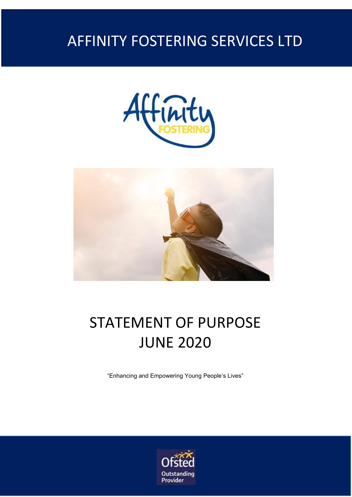# AFFINITY FOSTERING SERVICES LTD





# STATEMENT OF PURPOSE JUNE 2020

"Enhancing and Empowering Young People's Lives"

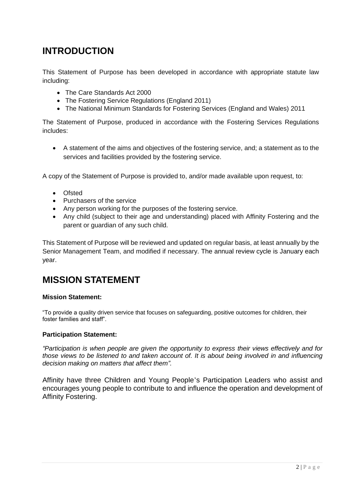# **INTRODUCTION**

This Statement of Purpose has been developed in accordance with appropriate statute law including:

- The Care Standards Act 2000
- The Fostering Service Regulations (England 2011)
- The National Minimum Standards for Fostering Services (England and Wales) 2011

The Statement of Purpose, produced in accordance with the Fostering Services Regulations includes:

• A statement of the aims and objectives of the fostering service, and; a statement as to the services and facilities provided by the fostering service.

A copy of the Statement of Purpose is provided to, and/or made available upon request, to:

- Ofsted
- Purchasers of the service
- Any person working for the purposes of the fostering service.
- Any child (subject to their age and understanding) placed with Affinity Fostering and the parent or guardian of any such child.

This Statement of Purpose will be reviewed and updated on regular basis, at least annually by the Senior Management Team, and modified if necessary. The annual review cycle is January each year.

## **MISSION STATEMENT**

#### **Mission Statement:**

"To provide a quality driven service that focuses on safeguarding, positive outcomes for children, their foster families and staff".

#### **Participation Statement:**

*"Participation is when people are given the opportunity to express their views effectively and for those views to be listened to and taken account of. It is about being involved in and influencing decision making on matters that affect them".*

Affinity have three Children and Young People's Participation Leaders who assist and encourages young people to contribute to and influence the operation and development of Affinity Fostering.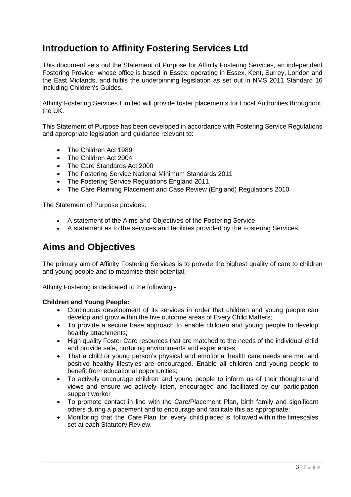# **Introduction to Affinity Fostering Services Ltd**

This document sets out the Statement of Purpose for Affinity Fostering Services, an independent Fostering Provider whose office is based in Essex, operating in Essex, Kent, Surrey, London and the East Midlands, and fulfils the underpinning legislation as set out in NMS 2011 Standard 16 including Children's Guides.

Affinity Fostering Services Limited will provide foster placements for Local Authorities throughout the UK.

This Statement of Purpose has been developed in accordance with Fostering Service Regulations and appropriate legislation and guidance relevant to:

- The Children Act 1989
- The Children Act 2004
- The Care Standards Act 2000
- The Fostering Service National Minimum Standards 2011
- The Fostering Service Regulations England 2011
- The Care Planning Placement and Case Review (England) Regulations 2010

The Statement of Purpose provides:

- A statement of the Aims and Objectives of the Fostering Service
- A statement as to the services and facilities provided by the Fostering Services.

# **Aims and Objectives**

The primary aim of Affinity Fostering Services is to provide the highest quality of care to children and young people and to maximise their potential.

Affinity Fostering is dedicated to the following:-

#### **Children and Young People:**

- Continuous development of its services in order that children and young people can develop and grow within the five outcome areas of Every Child Matters;
- To provide a secure base approach to enable children and young people to develop healthy attachments;
- High quality Foster Care resources that are matched to the needs of the individual child and provide safe, nurturing environments and experiences;
- That a child or young person's physical and emotional health care needs are met and positive healthy lifestyles are encouraged. Enable all children and young people to benefit from educational opportunities;
- To actively encourage children and young people to inform us of their thoughts and views and ensure we actively listen, encouraged and facilitated by our participation support worker
- To promote contact in line with the Care/Placement Plan, birth family and significant others during a placement and to encourage and facilitate this as appropriate;
- Monitoring that the Care Plan for every child placed is followed within the timescales set at each Statutory Review.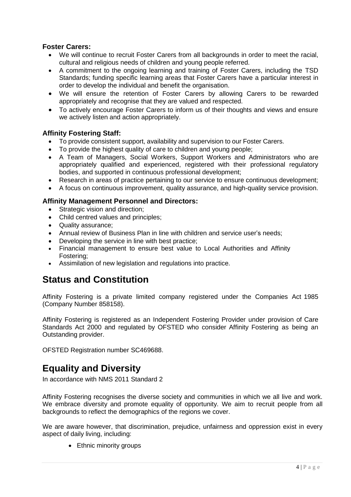#### **Foster Carers:**

- We will continue to recruit Foster Carers from all backgrounds in order to meet the racial, cultural and religious needs of children and young people referred.
- A commitment to the ongoing learning and training of Foster Carers, including the TSD Standards; funding specific learning areas that Foster Carers have a particular interest in order to develop the individual and benefit the organisation.
- We will ensure the retention of Foster Carers by allowing Carers to be rewarded appropriately and recognise that they are valued and respected.
- To actively encourage Foster Carers to inform us of their thoughts and views and ensure we actively listen and action appropriately.

#### **Affinity Fostering Staff:**

- To provide consistent support, availability and supervision to our Foster Carers.
- To provide the highest quality of care to children and young people:
- A Team of Managers, Social Workers, Support Workers and Administrators who are appropriately qualified and experienced, registered with their professional regulatory bodies, and supported in continuous professional development;
- Research in areas of practice pertaining to our service to ensure continuous development;
- A focus on continuous improvement, quality assurance, and high-quality service provision.

#### **Affinity Management Personnel and Directors:**

- Strategic vision and direction;
- Child centred values and principles;
- Quality assurance;
- Annual review of Business Plan in line with children and service user's needs;
- Developing the service in line with best practice;
- Financial management to ensure best value to Local Authorities and Affinity Fostering;
- Assimilation of new legislation and regulations into practice.

### **Status and Constitution**

Affinity Fostering is a private limited company registered under the Companies Act 1985 (Company Number 858158).

Affinity Fostering is registered as an Independent Fostering Provider under provision of Care Standards Act 2000 and regulated by OFSTED who consider Affinity Fostering as being an Outstanding provider.

OFSTED Registration number SC469688.

## **Equality and Diversity**

In accordance with NMS 2011 Standard 2

Affinity Fostering recognises the diverse society and communities in which we all live and work. We embrace diversity and promote equality of opportunity. We aim to recruit people from all backgrounds to reflect the demographics of the regions we cover.

We are aware however, that discrimination, prejudice, unfairness and oppression exist in every aspect of daily living, including:

• Ethnic minority groups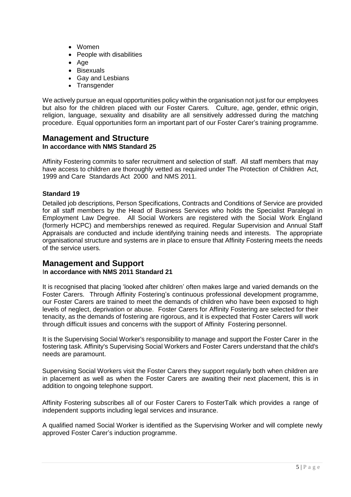- Women
- People with disabilities
- Age
- Bisexuals
- Gay and Lesbians
- Transgender

We actively pursue an equal opportunities policy within the organisation not just for our employees but also for the children placed with our Foster Carers. Culture, age, gender, ethnic origin, religion, language, sexuality and disability are all sensitively addressed during the matching procedure. Equal opportunities form an important part of our Foster Carer's training programme.

#### **Management and Structure In accordance with NMS Standard 25**

Affinity Fostering commits to safer recruitment and selection of staff. All staff members that may have access to children are thoroughly vetted as required under The Protection of Children Act, 1999 and Care Standards Act 2000 and NMS 2011.

#### **Standard 19**

Detailed job descriptions, Person Specifications, Contracts and Conditions of Service are provided for all staff members by the Head of Business Services who holds the Specialist Paralegal in Employment Law Degree. All Social Workers are registered with the Social Work England (formerly HCPC) and memberships renewed as required. Regular Supervision and Annual Staff Appraisals are conducted and include identifying training needs and interests. The appropriate organisational structure and systems are in place to ensure that Affinity Fostering meets the needs of the service users.

#### **Management and Support**

#### I**n accordance with NMS 2011 Standard 21**

It is recognised that placing 'looked after children' often makes large and varied demands on the Foster Carers. Through Affinity Fostering's continuous professional development programme, our Foster Carers are trained to meet the demands of children who have been exposed to high levels of neglect, deprivation or abuse. Foster Carers for Affinity Fostering are selected for their tenacity, as the demands of fostering are rigorous, and it is expected that Foster Carers will work through difficult issues and concerns with the support of Affinity Fostering personnel.

It is the Supervising Social Worker's responsibility to manage and support the Foster Carer in the fostering task. Affinity's Supervising Social Workers and Foster Carers understand that the child's needs are paramount.

Supervising Social Workers visit the Foster Carers they support regularly both when children are in placement as well as when the Foster Carers are awaiting their next placement, this is in addition to ongoing telephone support.

Affinity Fostering subscribes all of our Foster Carers to FosterTalk which provides a range of independent supports including legal services and insurance.

A qualified named Social Worker is identified as the Supervising Worker and will complete newly approved Foster Carer's induction programme.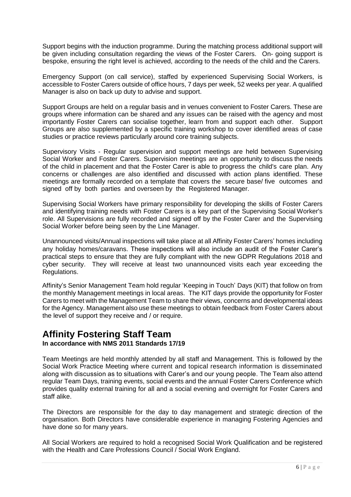Support begins with the induction programme. During the matching process additional support will be given including consultation regarding the views of the Foster Carers. On- going support is bespoke, ensuring the right level is achieved, according to the needs of the child and the Carers.

Emergency Support (on call service), staffed by experienced Supervising Social Workers, is accessible to Foster Carers outside of office hours, 7 days per week, 52 weeks per year. A qualified Manager is also on back up duty to advise and support.

Support Groups are held on a regular basis and in venues convenient to Foster Carers. These are groups where information can be shared and any issues can be raised with the agency and most importantly Foster Carers can socialise together, learn from and support each other. Support Groups are also supplemented by a specific training workshop to cover identified areas of case studies or practice reviews particularly around core training subjects.

Supervisory Visits - Regular supervision and support meetings are held between Supervising Social Worker and Foster Carers. Supervision meetings are an opportunity to discuss the needs of the child in placement and that the Foster Carer is able to progress the child's care plan. Any concerns or challenges are also identified and discussed with action plans identified. These meetings are formally recorded on a template that covers the secure base/ five outcomes and signed off by both parties and overseen by the Registered Manager.

Supervising Social Workers have primary responsibility for developing the skills of Foster Carers and identifying training needs with Foster Carers is a key part of the Supervising Social Worker's role. All Supervisions are fully recorded and signed off by the Foster Carer and the Supervising Social Worker before being seen by the Line Manager.

Unannounced visits/Annual inspections will take place at all Affinity Foster Carers' homes including any holiday homes/caravans. These inspections will also include an audit of the Foster Carer's practical steps to ensure that they are fully compliant with the new GDPR Regulations 2018 and cyber security. They will receive at least two unannounced visits each year exceeding the Regulations.

Affinity's Senior Management Team hold regular 'Keeping in Touch' Days (KIT) that follow on from the monthly Management meetings in local areas. The KIT days provide the opportunity for Foster Carers to meet with the Management Team to share their views, concerns and developmental ideas for the Agency. Management also use these meetings to obtain feedback from Foster Carers about the level of support they receive and / or require.

## **Affinity Fostering Staff Team**

**In accordance with NMS 2011 Standards 17/19**

Team Meetings are held monthly attended by all staff and Management. This is followed by the Social Work Practice Meeting where current and topical research information is disseminated along with discussion as to situations with Carer's and our young people. The Team also attend regular Team Days, training events, social events and the annual Foster Carers Conference which provides quality external training for all and a social evening and overnight for Foster Carers and staff alike.

The Directors are responsible for the day to day management and strategic direction of the organisation. Both Directors have considerable experience in managing Fostering Agencies and have done so for many years.

All Social Workers are required to hold a recognised Social Work Qualification and be registered with the Health and Care Professions Council / Social Work England.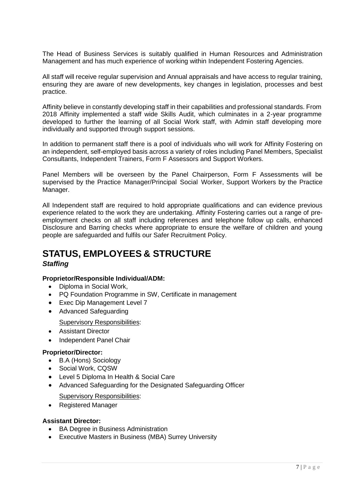The Head of Business Services is suitably qualified in Human Resources and Administration Management and has much experience of working within Independent Fostering Agencies.

All staff will receive regular supervision and Annual appraisals and have access to regular training, ensuring they are aware of new developments, key changes in legislation, processes and best practice.

Affinity believe in constantly developing staff in their capabilities and professional standards. From 2018 Affinity implemented a staff wide Skills Audit, which culminates in a 2-year programme developed to further the learning of all Social Work staff, with Admin staff developing more individually and supported through support sessions.

In addition to permanent staff there is a pool of individuals who will work for Affinity Fostering on an independent, self-employed basis across a variety of roles including Panel Members, Specialist Consultants, Independent Trainers, Form F Assessors and Support Workers.

Panel Members will be overseen by the Panel Chairperson, Form F Assessments will be supervised by the Practice Manager/Principal Social Worker, Support Workers by the Practice Manager.

All Independent staff are required to hold appropriate qualifications and can evidence previous experience related to the work they are undertaking. Affinity Fostering carries out a range of preemployment checks on all staff including references and telephone follow up calls, enhanced Disclosure and Barring checks where appropriate to ensure the welfare of children and young people are safeguarded and fulfils our Safer Recruitment Policy.

### **STATUS, EMPLOYEES & STRUCTURE** *Staffing*

#### **Proprietor/Responsible Individual/ADM:**

- Diploma in Social Work,
- PQ Foundation Programme in SW, Certificate in management
- Exec Dip Management Level 7
- Advanced Safeguarding

Supervisory Responsibilities:

- Assistant Director
- Independent Panel Chair

#### **Proprietor/Director:**

- B.A (Hons) Sociology
- Social Work, CQSW
- Level 5 Diploma In Health & Social Care
- Advanced Safeguarding for the Designated Safeguarding Officer

Supervisory Responsibilities:

• Registered Manager

#### **Assistant Director:**

- BA Degree in Business Administration
- Executive Masters in Business (MBA) Surrey University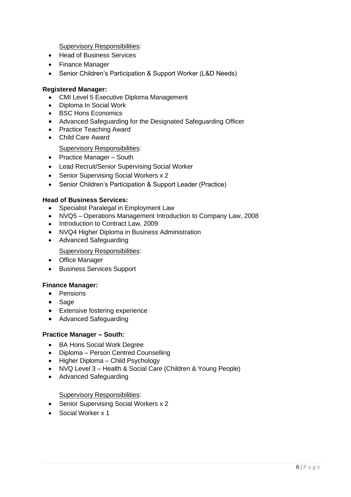**Supervisory Responsibilities:** 

- Head of Business Services
- Finance Manager
- Senior Children's Participation & Support Worker (L&D Needs)

#### **Registered Manager:**

- CMI Level 5 Executive Diploma Management
- Diploma In Social Work
- BSC Hons Economics
- Advanced Safeguarding for the Designated Safeguarding Officer
- Practice Teaching Award
- Child Care Award

#### Supervisory Responsibilities:

- Practice Manager South
- Lead Recruit/Senior Supervising Social Worker
- Senior Supervising Social Workers x 2
- Senior Children's Participation & Support Leader (Practice)

#### **Head of Business Services:**

- Specialist Paralegal in Employment Law
- NVQ5 Operations Management Introduction to Company Law, 2008
- Introduction to Contract Law, 2009
- NVQ4 Higher Diploma in Business Administration
- Advanced Safeguarding

Supervisory Responsibilities:

- Office Manager
- Business Services Support

#### **Finance Manager:**

- Pensions
- Sage
- Extensive fostering experience
- Advanced Safeguarding

#### **Practice Manager – South:**

- BA Hons Social Work Degree
- Diploma Person Centred Counselling
- Higher Diploma Child Psychology
- NVQ Level 3 Health & Social Care (Children & Young People)
- Advanced Safeguarding

#### Supervisory Responsibilities:

- Senior Supervising Social Workers x 2
- Social Worker x 1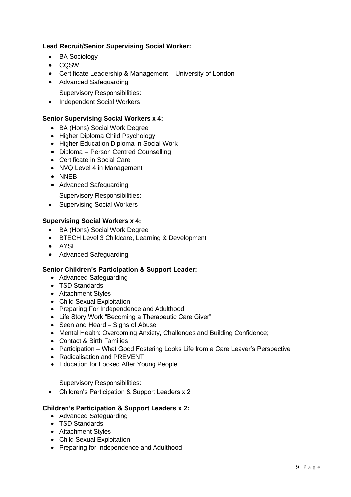#### **Lead Recruit/Senior Supervising Social Worker:**

- BA Sociology
- CQSW
- Certificate Leadership & Management University of London
- Advanced Safeguarding
	- Supervisory Responsibilities:
- Independent Social Workers

#### **Senior Supervising Social Workers x 4:**

- BA (Hons) Social Work Degree
- Higher Diploma Child Psychology
- Higher Education Diploma in Social Work
- Diploma Person Centred Counselling
- Certificate in Social Care
- NVQ Level 4 in Management
- NNEB
- Advanced Safeguarding

Supervisory Responsibilities:

• Supervising Social Workers

#### **Supervising Social Workers x 4:**

- BA (Hons) Social Work Degree
- BTECH Level 3 Childcare, Learning & Development
- AYSE
- Advanced Safeguarding

#### **Senior Children's Participation & Support Leader:**

- Advanced Safeguarding
- TSD Standards
- Attachment Styles
- Child Sexual Exploitation
- Preparing For Independence and Adulthood
- Life Story Work "Becoming a Therapeutic Care Giver"
- Seen and Heard Signs of Abuse
- Mental Health: Overcoming Anxiety, Challenges and Building Confidence;
- Contact & Birth Families
- Participation What Good Fostering Looks Life from a Care Leaver's Perspective
- Radicalisation and PREVENT
- Education for Looked After Young People

#### **Supervisory Responsibilities:**

• Children's Participation & Support Leaders x 2

#### **Children's Participation & Support Leaders x 2:**

- Advanced Safeguarding
- TSD Standards
- Attachment Styles
- Child Sexual Exploitation
- Preparing for Independence and Adulthood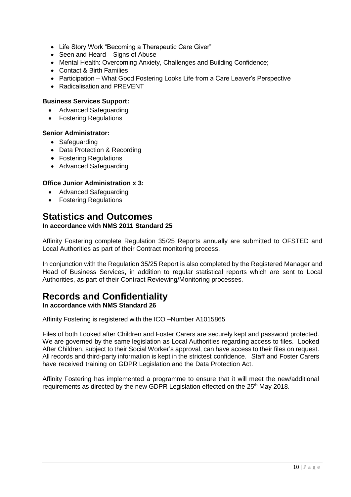- Life Story Work "Becoming a Therapeutic Care Giver"
- Seen and Heard Signs of Abuse
- Mental Health: Overcoming Anxiety, Challenges and Building Confidence;
- Contact & Birth Families
- Participation What Good Fostering Looks Life from a Care Leaver's Perspective
- Radicalisation and PREVENT

#### **Business Services Support:**

- Advanced Safeguarding
- Fostering Regulations

#### **Senior Administrator:**

- Safeguarding
- Data Protection & Recording
- Fostering Regulations
- Advanced Safeguarding

#### **Office Junior Administration x 3:**

- Advanced Safeguarding
- Fostering Regulations

# **Statistics and Outcomes**

#### **In accordance with NMS 2011 Standard 25**

Affinity Fostering complete Regulation 35/25 Reports annually are submitted to OFSTED and Local Authorities as part of their Contract monitoring process.

In conjunction with the Regulation 35/25 Report is also completed by the Registered Manager and Head of Business Services, in addition to regular statistical reports which are sent to Local Authorities, as part of their Contract Reviewing/Monitoring processes.

## **Records and Confidentiality**

#### **In accordance with NMS Standard 26**

Affinity Fostering is registered with the ICO –Number A1015865

Files of both Looked after Children and Foster Carers are securely kept and password protected. We are governed by the same legislation as Local Authorities regarding access to files. Looked After Children, subject to their Social Worker's approval, can have access to their files on request. All records and third-party information is kept in the strictest confidence. Staff and Foster Carers have received training on GDPR Legislation and the Data Protection Act.

Affinity Fostering has implemented a programme to ensure that it will meet the new/additional requirements as directed by the new GDPR Legislation effected on the 25<sup>th</sup> May 2018.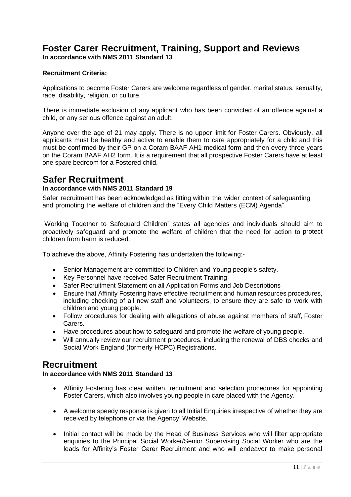# **Foster Carer Recruitment, Training, Support and Reviews**

**In accordance with NMS 2011 Standard 13**

#### **Recruitment Criteria:**

Applications to become Foster Carers are welcome regardless of gender, marital status, sexuality, race, disability, religion, or culture.

There is immediate exclusion of any applicant who has been convicted of an offence against a child, or any serious offence against an adult.

Anyone over the age of 21 may apply. There is no upper limit for Foster Carers. Obviously, all applicants must be healthy and active to enable them to care appropriately for a child and this must be confirmed by their GP on a Coram BAAF AH1 medical form and then every three years on the Coram BAAF AH2 form. It is a requirement that all prospective Foster Carers have at least one spare bedroom for a Fostered child.

### **Safer Recruitment**

#### **In accordance with NMS 2011 Standard 19**

Safer recruitment has been acknowledged as fitting within the wider context of safeguarding and promoting the welfare of children and the "Every Child Matters (ECM) Agenda".

"Working Together to Safeguard Children" states all agencies and individuals should aim to proactively safeguard and promote the welfare of children that the need for action to protect children from harm is reduced.

To achieve the above, Affinity Fostering has undertaken the following:-

- Senior Management are committed to Children and Young people's safety.
- Key Personnel have received Safer Recruitment Training
- Safer Recruitment Statement on all Application Forms and Job Descriptions
- Ensure that Affinity Fostering have effective recruitment and human resources procedures, including checking of all new staff and volunteers, to ensure they are safe to work with children and young people.
- Follow procedures for dealing with allegations of abuse against members of staff, Foster Carers.
- Have procedures about how to safeguard and promote the welfare of young people.
- Will annually review our recruitment procedures, including the renewal of DBS checks and Social Work England (formerly HCPC) Registrations.

### **Recruitment**

#### **In accordance with NMS 2011 Standard 13**

- Affinity Fostering has clear written, recruitment and selection procedures for appointing Foster Carers, which also involves young people in care placed with the Agency.
- A welcome speedy response is given to all Initial Enquiries irrespective of whether they are received by telephone or via the Agency' Website.
- Initial contact will be made by the Head of Business Services who will filter appropriate enquiries to the Principal Social Worker/Senior Supervising Social Worker who are the leads for Affinity's Foster Carer Recruitment and who will endeavor to make personal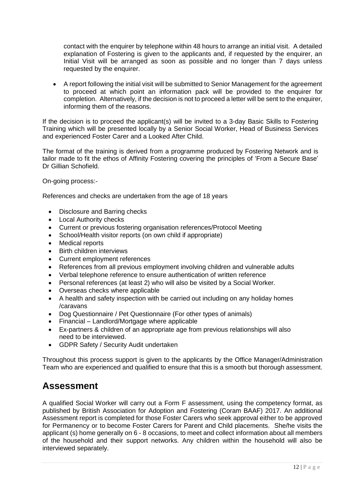contact with the enquirer by telephone within 48 hours to arrange an initial visit. A detailed explanation of Fostering is given to the applicants and, if requested by the enquirer, an Initial Visit will be arranged as soon as possible and no longer than 7 days unless requested by the enquirer.

• A report following the initial visit will be submitted to Senior Management for the agreement to proceed at which point an information pack will be provided to the enquirer for completion. Alternatively, if the decision is not to proceed a letter will be sent to the enquirer, informing them of the reasons.

If the decision is to proceed the applicant(s) will be invited to a 3-day Basic Skills to Fostering Training which will be presented locally by a Senior Social Worker, Head of Business Services and experienced Foster Carer and a Looked After Child.

The format of the training is derived from a programme produced by Fostering Network and is tailor made to fit the ethos of Affinity Fostering covering the principles of 'From a Secure Base' Dr Gillian Schofield.

On-going process:-

References and checks are undertaken from the age of 18 years

- Disclosure and Barring checks
- Local Authority checks
- Current or previous fostering organisation references/Protocol Meeting
- School/Health visitor reports (on own child if appropriate)
- Medical reports
- Birth children interviews
- Current employment references
- References from all previous employment involving children and vulnerable adults
- Verbal telephone reference to ensure authentication of written reference
- Personal references (at least 2) who will also be visited by a Social Worker.
- Overseas checks where applicable
- A health and safety inspection with be carried out including on any holiday homes /caravans
- Dog Questionnaire / Pet Questionnaire (For other types of animals)
- Financial Landlord/Mortgage where applicable
- Ex-partners & children of an appropriate age from previous relationships will also need to be interviewed.
- GDPR Safety / Security Audit undertaken

Throughout this process support is given to the applicants by the Office Manager/Administration Team who are experienced and qualified to ensure that this is a smooth but thorough assessment.

## **Assessment**

A qualified Social Worker will carry out a Form F assessment, using the competency format, as published by British Association for Adoption and Fostering (Coram BAAF) 2017. An additional Assessment report is completed for those Foster Carers who seek approval either to be approved for Permanency or to become Foster Carers for Parent and Child placements. She/he visits the applicant (s) home generally on 6 - 8 occasions, to meet and collect information about all members of the household and their support networks. Any children within the household will also be interviewed separately.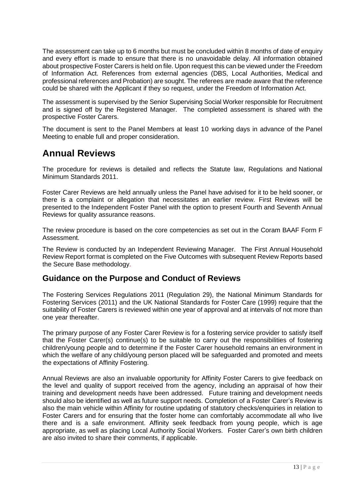The assessment can take up to 6 months but must be concluded within 8 months of date of enquiry and every effort is made to ensure that there is no unavoidable delay. All information obtained about prospective Foster Carers is held on file. Upon request this can be viewed under the Freedom of Information Act. References from external agencies (DBS, Local Authorities, Medical and professional references and Probation) are sought. The referees are made aware that the reference could be shared with the Applicant if they so request, under the Freedom of Information Act.

The assessment is supervised by the Senior Supervising Social Worker responsible for Recruitment and is signed off by the Registered Manager. The completed assessment is shared with the prospective Foster Carers.

The document is sent to the Panel Members at least 10 working days in advance of the Panel Meeting to enable full and proper consideration.

## **Annual Reviews**

The procedure for reviews is detailed and reflects the Statute law, Regulations and National Minimum Standards 2011.

Foster Carer Reviews are held annually unless the Panel have advised for it to be held sooner, or there is a complaint or allegation that necessitates an earlier review. First Reviews will be presented to the Independent Foster Panel with the option to present Fourth and Seventh Annual Reviews for quality assurance reasons.

The review procedure is based on the core competencies as set out in the Coram BAAF Form F Assessment.

The Review is conducted by an Independent Reviewing Manager. The First Annual Household Review Report format is completed on the Five Outcomes with subsequent Review Reports based the Secure Base methodology.

### **Guidance on the Purpose and Conduct of Reviews**

The Fostering Services Regulations 2011 (Regulation 29), the National Minimum Standards for Fostering Services (2011) and the UK National Standards for Foster Care (1999) require that the suitability of Foster Carers is reviewed within one year of approval and at intervals of not more than one year thereafter.

The primary purpose of any Foster Carer Review is for a fostering service provider to satisfy itself that the Foster Carer(s) continue(s) to be suitable to carry out the responsibilities of fostering children/young people and to determine if the Foster Carer household remains an environment in which the welfare of any child/young person placed will be safeguarded and promoted and meets the expectations of Affinity Fostering.

Annual Reviews are also an invaluable opportunity for Affinity Foster Carers to give feedback on the level and quality of support received from the agency, including an appraisal of how their training and development needs have been addressed. Future training and development needs should also be identified as well as future support needs. Completion of a Foster Carer's Review is also the main vehicle within Affinity for routine updating of statutory checks/enquiries in relation to Foster Carers and for ensuring that the foster home can comfortably accommodate all who live there and is a safe environment. Affinity seek feedback from young people, which is age appropriate, as well as placing Local Authority Social Workers. Foster Carer's own birth children are also invited to share their comments, if applicable.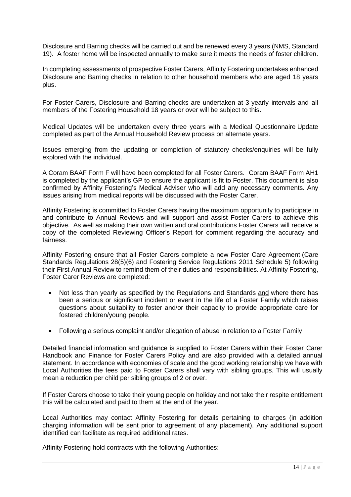Disclosure and Barring checks will be carried out and be renewed every 3 years (NMS, Standard 19). A foster home will be inspected annually to make sure it meets the needs of foster children.

In completing assessments of prospective Foster Carers, Affinity Fostering undertakes enhanced Disclosure and Barring checks in relation to other household members who are aged 18 years plus.

For Foster Carers, Disclosure and Barring checks are undertaken at 3 yearly intervals and all members of the Fostering Household 18 years or over will be subject to this.

Medical Updates will be undertaken every three years with a Medical Questionnaire Update completed as part of the Annual Household Review process on alternate years.

Issues emerging from the updating or completion of statutory checks/enquiries will be fully explored with the individual.

A Coram BAAF Form F will have been completed for all Foster Carers. Coram BAAF Form AH1 is completed by the applicant's GP to ensure the applicant is fit to Foster. This document is also confirmed by Affinity Fostering's Medical Adviser who will add any necessary comments. Any issues arising from medical reports will be discussed with the Foster Carer.

Affinity Fostering is committed to Foster Carers having the maximum opportunity to participate in and contribute to Annual Reviews and will support and assist Foster Carers to achieve this objective. As well as making their own written and oral contributions Foster Carers will receive a copy of the completed Reviewing Officer's Report for comment regarding the accuracy and fairness.

Affinity Fostering ensure that all Foster Carers complete a new Foster Care Agreement (Care Standards Regulations 28(5)(6) and Fostering Service Regulations 2011 Schedule 5) following their First Annual Review to remind them of their duties and responsibilities. At Affinity Fostering, Foster Carer Reviews are completed:

- Not less than yearly as specified by the Regulations and Standards and where there has been a serious or significant incident or event in the life of a Foster Family which raises questions about suitability to foster and/or their capacity to provide appropriate care for fostered children/young people.
- Following a serious complaint and/or allegation of abuse in relation to a Foster Family

Detailed financial information and guidance is supplied to Foster Carers within their Foster Carer Handbook and Finance for Foster Carers Policy and are also provided with a detailed annual statement. In accordance with economies of scale and the good working relationship we have with Local Authorities the fees paid to Foster Carers shall vary with sibling groups. This will usually mean a reduction per child per sibling groups of 2 or over.

If Foster Carers choose to take their young people on holiday and not take their respite entitlement this will be calculated and paid to them at the end of the year.

Local Authorities may contact Affinity Fostering for details pertaining to charges (in addition charging information will be sent prior to agreement of any placement). Any additional support identified can facilitate as required additional rates.

Affinity Fostering hold contracts with the following Authorities: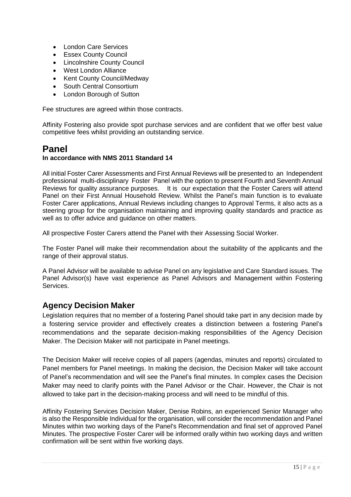- London Care Services
- Essex County Council
- **Lincolnshire County Council**
- West London Alliance
- Kent County Council/Medway
- South Central Consortium
- London Borough of Sutton

Fee structures are agreed within those contracts.

Affinity Fostering also provide spot purchase services and are confident that we offer best value competitive fees whilst providing an outstanding service.

### **Panel**

#### **In accordance with NMS 2011 Standard 14**

All initial Foster Carer Assessments and First Annual Reviews will be presented to an Independent professional multi-disciplinary Foster Panel with the option to present Fourth and Seventh Annual Reviews for quality assurance purposes. It is our expectation that the Foster Carers will attend Panel on their First Annual Household Review. Whilst the Panel's main function is to evaluate Foster Carer applications, Annual Reviews including changes to Approval Terms, it also acts as a steering group for the organisation maintaining and improving quality standards and practice as well as to offer advice and guidance on other matters.

All prospective Foster Carers attend the Panel with their Assessing Social Worker.

The Foster Panel will make their recommendation about the suitability of the applicants and the range of their approval status.

A Panel Advisor will be available to advise Panel on any legislative and Care Standard issues. The Panel Advisor(s) have vast experience as Panel Advisors and Management within Fostering Services.

### **Agency Decision Maker**

Legislation requires that no member of a fostering Panel should take part in any decision made by a fostering service provider and effectively creates a distinction between a fostering Panel's recommendations and the separate decision-making responsibilities of the Agency Decision Maker. The Decision Maker will not participate in Panel meetings.

The Decision Maker will receive copies of all papers (agendas, minutes and reports) circulated to Panel members for Panel meetings. In making the decision, the Decision Maker will take account of Panel's recommendation and will see the Panel's final minutes. In complex cases the Decision Maker may need to clarify points with the Panel Advisor or the Chair. However, the Chair is not allowed to take part in the decision-making process and will need to be mindful of this.

Affinity Fostering Services Decision Maker, Denise Robins, an experienced Senior Manager who is also the Responsible Individual for the organisation, will consider the recommendation and Panel Minutes within two working days of the Panel's Recommendation and final set of approved Panel Minutes. The prospective Foster Carer will be informed orally within two working days and written confirmation will be sent within five working days.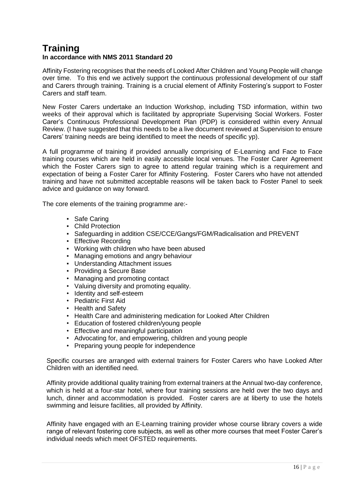# **Training**

#### **In accordance with NMS 2011 Standard 20**

Affinity Fostering recognises that the needs of Looked After Children and Young People will change over time. To this end we actively support the continuous professional development of our staff and Carers through training. Training is a crucial element of Affinity Fostering's support to Foster Carers and staff team.

New Foster Carers undertake an Induction Workshop, including TSD information, within two weeks of their approval which is facilitated by appropriate Supervising Social Workers. Foster Carer's Continuous Professional Development Plan (PDP) is considered within every Annual Review. (I have suggested that this needs to be a live document reviewed at Supervision to ensure Carers' training needs are being identified to meet the needs of specific yp).

A full programme of training if provided annually comprising of E-Learning and Face to Face training courses which are held in easily accessible local venues. The Foster Carer Agreement which the Foster Carers sign to agree to attend regular training which is a requirement and expectation of being a Foster Carer for Affinity Fostering. Foster Carers who have not attended training and have not submitted acceptable reasons will be taken back to Foster Panel to seek advice and guidance on way forward.

The core elements of the training programme are:-

- Safe Caring
- Child Protection
- Safeguarding in addition CSE/CCE/Gangs/FGM/Radicalisation and PREVENT
- Effective Recording
- Working with children who have been abused
- Managing emotions and angry behaviour
- Understanding Attachment issues
- Providing a Secure Base
- Managing and promoting contact
- Valuing diversity and promoting equality.
- Identity and self-esteem
- Pediatric First Aid
- Health and Safety
- Health Care and administering medication for Looked After Children
- Education of fostered children/young people
- Effective and meaningful participation
- Advocating for, and empowering, children and young people
- Preparing young people for independence

Specific courses are arranged with external trainers for Foster Carers who have Looked After Children with an identified need.

Affinity provide additional quality training from external trainers at the Annual two-day conference, which is held at a four-star hotel, where four training sessions are held over the two days and lunch, dinner and accommodation is provided. Foster carers are at liberty to use the hotels swimming and leisure facilities, all provided by Affinity.

Affinity have engaged with an E-Learning training provider whose course library covers a wide range of relevant fostering core subjects, as well as other more courses that meet Foster Carer's individual needs which meet OFSTED requirements.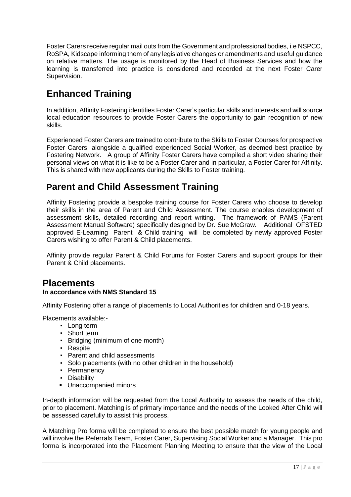Foster Carers receive regular mail outs from the Government and professional bodies, i.e NSPCC, RoSPA, Kidscape informing them of any legislative changes or amendments and useful guidance on relative matters. The usage is monitored by the Head of Business Services and how the learning is transferred into practice is considered and recorded at the next Foster Carer Supervision.

# **Enhanced Training**

In addition, Affinity Fostering identifies Foster Carer's particular skills and interests and will source local education resources to provide Foster Carers the opportunity to gain recognition of new skills.

Experienced Foster Carers are trained to contribute to the Skills to Foster Courses for prospective Foster Carers, alongside a qualified experienced Social Worker, as deemed best practice by Fostering Network. A group of Affinity Foster Carers have compiled a short video sharing their personal views on what it is like to be a Foster Carer and in particular, a Foster Carer for Affinity. This is shared with new applicants during the Skills to Foster training.

## **Parent and Child Assessment Training**

Affinity Fostering provide a bespoke training course for Foster Carers who choose to develop their skills in the area of Parent and Child Assessment. The course enables development of assessment skills, detailed recording and report writing. The framework of PAMS (Parent Assessment Manual Software) specifically designed by Dr. Sue McGraw. Additional OFSTED approved E-Learning Parent & Child training will be completed by newly approved Foster Carers wishing to offer Parent & Child placements.

Affinity provide regular Parent & Child Forums for Foster Carers and support groups for their Parent & Child placements.

### **Placements**

#### **In accordance with NMS Standard 15**

Affinity Fostering offer a range of placements to Local Authorities for children and 0-18 years.

Placements available:-

- Long term
- Short term
- Bridging (minimum of one month)
- Respite
- Parent and child assessments
- Solo placements (with no other children in the household)
- **•** Permanency
- Disability
- Unaccompanied minors

In-depth information will be requested from the Local Authority to assess the needs of the child, prior to placement. Matching is of primary importance and the needs of the Looked After Child will be assessed carefully to assist this process.

A Matching Pro forma will be completed to ensure the best possible match for young people and will involve the Referrals Team, Foster Carer, Supervising Social Worker and a Manager. This pro forma is incorporated into the Placement Planning Meeting to ensure that the view of the Local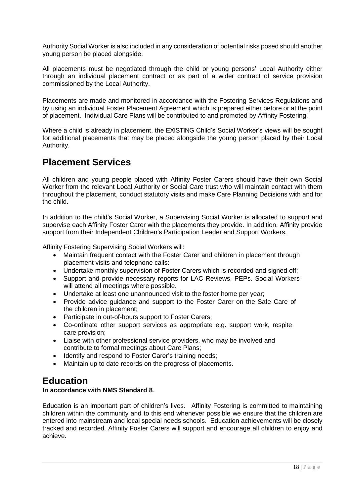Authority Social Worker is also included in any consideration of potential risks posed should another young person be placed alongside.

All placements must be negotiated through the child or young persons' Local Authority either through an individual placement contract or as part of a wider contract of service provision commissioned by the Local Authority.

Placements are made and monitored in accordance with the Fostering Services Regulations and by using an individual Foster Placement Agreement which is prepared either before or at the point of placement. Individual Care Plans will be contributed to and promoted by Affinity Fostering.

Where a child is already in placement, the EXISTING Child's Social Worker's views will be sought for additional placements that may be placed alongside the young person placed by their Local Authority.

# **Placement Services**

All children and young people placed with Affinity Foster Carers should have their own Social Worker from the relevant Local Authority or Social Care trust who will maintain contact with them throughout the placement, conduct statutory visits and make Care Planning Decisions with and for the child.

In addition to the child's Social Worker, a Supervising Social Worker is allocated to support and supervise each Affinity Foster Carer with the placements they provide. In addition, Affinity provide support from their Independent Children's Participation Leader and Support Workers.

Affinity Fostering Supervising Social Workers will:

- Maintain frequent contact with the Foster Carer and children in placement through placement visits and telephone calls:
- Undertake monthly supervision of Foster Carers which is recorded and signed off;
- Support and provide necessary reports for LAC Reviews, PEPs. Social Workers will attend all meetings where possible.
- Undertake at least one unannounced visit to the foster home per year;
- Provide advice guidance and support to the Foster Carer on the Safe Care of the children in placement;
- Participate in out-of-hours support to Foster Carers;
- Co-ordinate other support services as appropriate e.g. support work, respite care provision;
- Liaise with other professional service providers, who may be involved and contribute to formal meetings about Care Plans;
- Identify and respond to Foster Carer's training needs;
- Maintain up to date records on the progress of placements.

## **Education**

#### **In accordance with NMS Standard 8**.

Education is an important part of children's lives. Affinity Fostering is committed to maintaining children within the community and to this end whenever possible we ensure that the children are entered into mainstream and local special needs schools. Education achievements will be closely tracked and recorded. Affinity Foster Carers will support and encourage all children to enjoy and achieve.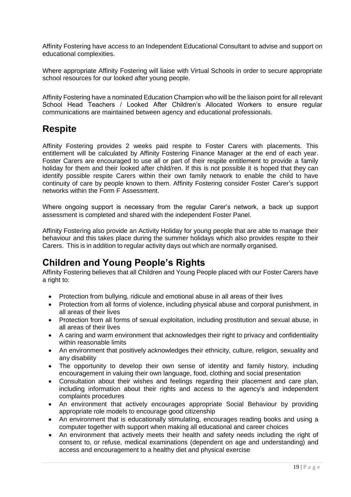Affinity Fostering have access to an Independent Educational Consultant to advise and support on educational complexities.

Where appropriate Affinity Fostering will liaise with Virtual Schools in order to secure appropriate school resources for our looked after young people.

Affinity Fostering have a nominated Education Champion who will be the liaison point for all relevant School Head Teachers / Looked After Children's Allocated Workers to ensure regular communications are maintained between agency and educational professionals.

## **Respite**

Affinity Fostering provides 2 weeks paid respite to Foster Carers with placements. This entitlement will be calculated by Affinity Fostering Finance Manager at the end of each year. Foster Carers are encouraged to use all or part of their respite entitlement to provide a family holiday for them and their looked after child/ren. If this is not possible it is hoped that they can identify possible respite Carers within their own family network to enable the child to have continuity of care by people known to them. Affinity Fostering consider Foster Carer's support networks within the Form F Assessment.

Where ongoing support is necessary from the regular Carer's network, a back up support assessment is completed and shared with the independent Foster Panel.

Affinity Fostering also provide an Activity Holiday for young people that are able to manage their behaviour and this takes place during the summer holidays which also provides respite to their Carers. This is in addition to regular activity days out which are normally organised.

# **Children and Young People's Rights**

Affinity Fostering believes that all Children and Young People placed with our Foster Carers have a right to:

- Protection from bullying, ridicule and emotional abuse in all areas of their lives
- Protection from all forms of violence, including physical abuse and corporal punishment, in all areas of their lives
- Protection from all forms of sexual exploitation, including prostitution and sexual abuse, in all areas of their lives
- A caring and warm environment that acknowledges their right to privacy and confidentiality within reasonable limits
- An environment that positively acknowledges their ethnicity, culture, religion, sexuality and any disability
- The opportunity to develop their own sense of identity and family history, including encouragement in valuing their own language, food, clothing and social presentation
- Consultation about their wishes and feelings regarding their placement and care plan, including information about their rights and access to the agency's and independent complaints procedures
- An environment that actively encourages appropriate Social Behaviour by providing appropriate role models to encourage good citizenship
- An environment that is educationally stimulating, encourages reading books and using a computer together with support when making all educational and career choices
- An environment that actively meets their health and safety needs including the right of consent to, or refuse, medical examinations (dependent on age and understanding) and access and encouragement to a healthy diet and physical exercise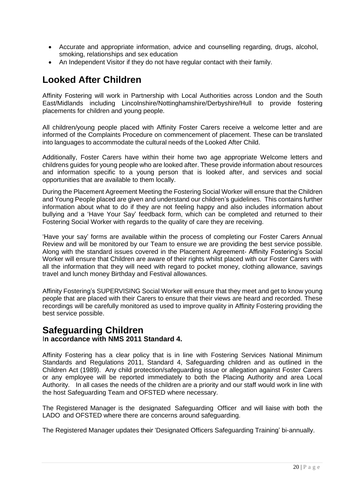- Accurate and appropriate information, advice and counselling regarding, drugs, alcohol, smoking, relationships and sex education
- An Independent Visitor if they do not have regular contact with their family.

# **Looked After Children**

Affinity Fostering will work in Partnership with Local Authorities across London and the South East/Midlands including Lincolnshire/Nottinghamshire/Derbyshire/Hull to provide fostering placements for children and young people.

All children/young people placed with Affinity Foster Carers receive a welcome letter and are informed of the Complaints Procedure on commencement of placement. These can be translated into languages to accommodate the cultural needs of the Looked After Child.

Additionally, Foster Carers have within their home two age appropriate Welcome letters and childrens guides for young people who are looked after. These provide information about resources and information specific to a young person that is looked after, and services and social opportunities that are available to them locally.

During the Placement Agreement Meeting the Fostering Social Worker will ensure that the Children and Young People placed are given and understand our children's guidelines. This contains further information about what to do if they are not feeling happy and also includes information about bullying and a 'Have Your Say' feedback form, which can be completed and returned to their Fostering Social Worker with regards to the quality of care they are receiving.

'Have your say' forms are available within the process of completing our Foster Carers Annual Review and will be monitored by our Team to ensure we are providing the best service possible. Along with the standard issues covered in the Placement Agreement- Affinity Fostering's Social Worker will ensure that Children are aware of their rights whilst placed with our Foster Carers with all the information that they will need with regard to pocket money, clothing allowance, savings travel and lunch money Birthday and Festival allowances.

Affinity Fostering's SUPERVISING Social Worker will ensure that they meet and get to know young people that are placed with their Carers to ensure that their views are heard and recorded. These recordings will be carefully monitored as used to improve quality in Affinity Fostering providing the best service possible.

### **Safeguarding Children** I**n accordance with NMS 2011 Standard 4.**

Affinity Fostering has a clear policy that is in line with Fostering Services National Minimum Standards and Regulations 2011, Standard 4, Safeguarding children and as outlined in the Children Act (1989). Any child protection/safeguarding issue or allegation against Foster Carers or any employee will be reported immediately to both the Placing Authority and area Local Authority. In all cases the needs of the children are a priority and our staff would work in line with the host Safeguarding Team and OFSTED where necessary.

The Registered Manager is the designated Safeguarding Officer and will liaise with both the LADO and OFSTED where there are concerns around safeguarding.

The Registered Manager updates their 'Designated Officers Safeguarding Training' bi-annually.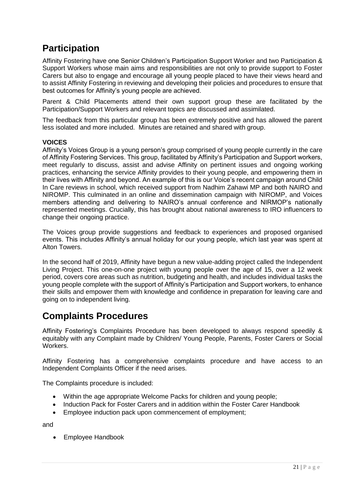# **Participation**

Affinity Fostering have one Senior Children's Participation Support Worker and two Participation & Support Workers whose main aims and responsibilities are not only to provide support to Foster Carers but also to engage and encourage all young people placed to have their views heard and to assist Affinity Fostering in reviewing and developing their policies and procedures to ensure that best outcomes for Affinity's young people are achieved.

Parent & Child Placements attend their own support group these are facilitated by the Participation/Support Workers and relevant topics are discussed and assimilated.

The feedback from this particular group has been extremely positive and has allowed the parent less isolated and more included. Minutes are retained and shared with group.

#### **VOICES**

Affinity's Voices Group is a young person's group comprised of young people currently in the care of Affinity Fostering Services. This group, facilitated by Affinity's Participation and Support workers, meet regularly to discuss, assist and advise Affinity on pertinent issues and ongoing working practices, enhancing the service Affinity provides to their young people, and empowering them in their lives with Affinity and beyond. An example of this is our Voice's recent campaign around Child In Care reviews in school, which received support from Nadhim Zahawi MP and both NAIRO and NIROMP. This culminated in an online and dissemination campaign with NIROMP, and Voices members attending and delivering to NAIRO's annual conference and NIRMOP's nationally represented meetings. Crucially, this has brought about national awareness to IRO influencers to change their ongoing practice.

The Voices group provide suggestions and feedback to experiences and proposed organised events. This includes Affinity's annual holiday for our young people, which last year was spent at Alton Towers.

In the second half of 2019, Affinity have begun a new value-adding project called the Independent Living Project. This one-on-one project with young people over the age of 15, over a 12 week period, covers core areas such as nutrition, budgeting and health, and includes individual tasks the young people complete with the support of Affinity's Participation and Support workers, to enhance their skills and empower them with knowledge and confidence in preparation for leaving care and going on to independent living.

## **Complaints Procedures**

Affinity Fostering's Complaints Procedure has been developed to always respond speedily & equitably with any Complaint made by Children/ Young People, Parents, Foster Carers or Social Workers.

Affinity Fostering has a comprehensive complaints procedure and have access to an Independent Complaints Officer if the need arises.

The Complaints procedure is included:

- Within the age appropriate Welcome Packs for children and young people;
- Induction Pack for Foster Carers and in addition within the Foster Carer Handbook
- Employee induction pack upon commencement of employment;

and

• Employee Handbook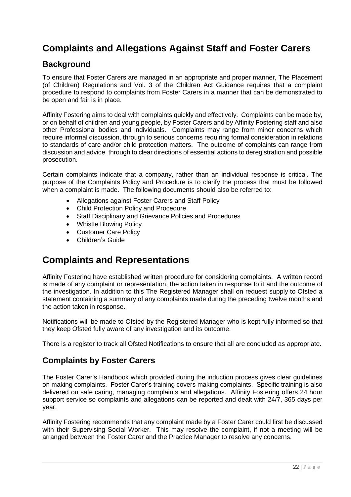# **Complaints and Allegations Against Staff and Foster Carers**

### **Background**

To ensure that Foster Carers are managed in an appropriate and proper manner, The Placement (of Children) Regulations and Vol. 3 of the Children Act Guidance requires that a complaint procedure to respond to complaints from Foster Carers in a manner that can be demonstrated to be open and fair is in place.

Affinity Fostering aims to deal with complaints quickly and effectively. Complaints can be made by, or on behalf of children and young people, by Foster Carers and by Affinity Fostering staff and also other Professional bodies and individuals. Complaints may range from minor concerns which require informal discussion, through to serious concerns requiring formal consideration in relations to standards of care and/or child protection matters. The outcome of complaints can range from discussion and advice, through to clear directions of essential actions to deregistration and possible prosecution.

Certain complaints indicate that a company, rather than an individual response is critical. The purpose of the Complaints Policy and Procedure is to clarify the process that must be followed when a complaint is made. The following documents should also be referred to:

- Allegations against Foster Carers and Staff Policy
- Child Protection Policy and Procedure
- Staff Disciplinary and Grievance Policies and Procedures
- Whistle Blowing Policy
- Customer Care Policy
- Children's Guide

## **Complaints and Representations**

Affinity Fostering have established written procedure for considering complaints. A written record is made of any complaint or representation, the action taken in response to it and the outcome of the investigation. In addition to this The Registered Manager shall on request supply to Ofsted a statement containing a summary of any complaints made during the preceding twelve months and the action taken in response.

Notifications will be made to Ofsted by the Registered Manager who is kept fully informed so that they keep Ofsted fully aware of any investigation and its outcome.

There is a register to track all Ofsted Notifications to ensure that all are concluded as appropriate.

### **Complaints by Foster Carers**

The Foster Carer's Handbook which provided during the induction process gives clear guidelines on making complaints. Foster Carer's training covers making complaints. Specific training is also delivered on safe caring, managing complaints and allegations. Affinity Fostering offers 24 hour support service so complaints and allegations can be reported and dealt with 24/7, 365 days per year.

Affinity Fostering recommends that any complaint made by a Foster Carer could first be discussed with their Supervising Social Worker. This may resolve the complaint, if not a meeting will be arranged between the Foster Carer and the Practice Manager to resolve any concerns.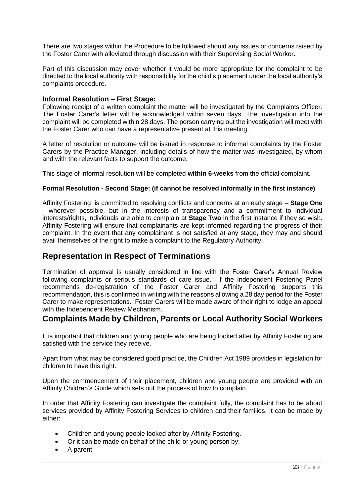There are two stages within the Procedure to be followed should any issues or concerns raised by the Foster Carer with alleviated through discussion with their Supervising Social Worker.

Part of this discussion may cover whether it would be more appropriate for the complaint to be directed to the local authority with responsibility for the child's placement under the local authority's complaints procedure.

#### **Informal Resolution – First Stage:**

Following receipt of a written complaint the matter will be investigated by the Complaints Officer. The Foster Carer's letter will be acknowledged within seven days. The investigation into the complaint will be completed within 28 days. The person carrying out the investigation will meet with the Foster Carer who can have a representative present at this meeting.

A letter of resolution or outcome will be issued in response to informal complaints by the Foster Carers by the Practice Manager, including details of how the matter was investigated, by whom and with the relevant facts to support the outcome.

This stage of informal resolution will be completed **within 6-weeks** from the official complaint.

#### **Formal Resolution - Second Stage: (if cannot be resolved informally in the first instance)**

Affinity Fostering is committed to resolving conflicts and concerns at an early stage – **Stage One** - wherever possible, but in the interests of transparency and a commitment to individual interests/rights, individuals are able to complain at **[Stage Two](http://www.proceduresonline.com/ccb/chapters/p_complaints_procedure.html#stage_two)** in the first instance if they so wish. Affinity Fostering will ensure that complainants are kept informed regarding the progress of their complaint. In the event that any complainant is not satisfied at any stage, they may and should avail themselves of the right to make a complaint to the Regulatory Authority.

### **Representation in Respect of Terminations**

Termination of approval is usually considered in line with the Foster Carer's Annual Review following complaints or serious standards of care issue. If the Independent Fostering Panel recommends de-registration of the Foster Carer and Affinity Fostering supports this recommendation, this is confirmed in writing with the reasons allowing a 28 day period for the Foster Carer to make representations. Foster Carers will be made aware of their right to lodge an appeal with the Independent Review Mechanism.

### **Complaints Made by Children, Parents or Local Authority Social Workers**

It is important that children and young people who are being looked after by Affinity Fostering are satisfied with the service they receive.

Apart from what may be considered good practice, the Children Act 1989 provides in legislation for children to have this right.

Upon the commencement of their placement, children and young people are provided with an Affinity Children's Guide which sets out the process of how to complain.

In order that Affinity Fostering can investigate the complaint fully, the complaint has to be about services provided by Affinity Fostering Services to children and their families. It can be made by either:

- Children and young people looked after by Affinity Fostering.
- Or it can be made on behalf of the child or young person by:-
- A parent;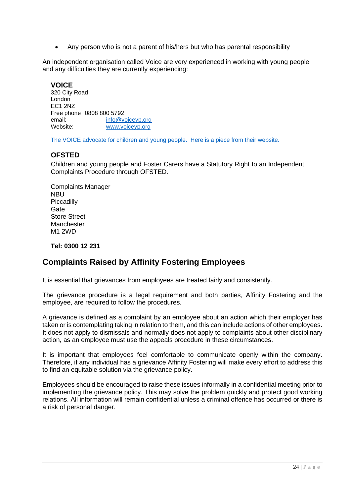• Any person who is not a parent of his/hers but who has parental responsibility

An independent organisation called Voice are very experienced in working with young people and any difficulties they are currently experiencing:

#### **VOICE**

320 City Road London EC1 2NZ Free phone 0808 800 5792 email: [info@voiceyp.org](mailto:info@voiceyp.org) Website: [www.voiceyp.org](http://www.voiceyp.org/)

The VOICE advocate for children and young people. Here is a piece from their website.

#### **OFSTED**

Children and young people and Foster Carers have a Statutory Right to an Independent Complaints Procedure through OFSTED.

Complaints Manager **NBU Piccadilly Gate** Store Street Manchester M1 2WD

**Tel: 0300 12 231**

### **Complaints Raised by Affinity Fostering Employees**

It is essential that grievances from employees are treated fairly and consistently.

The grievance procedure is a legal requirement and both parties, Affinity Fostering and the employee, are required to follow the procedures.

A grievance is defined as a complaint by an employee about an action which their employer has taken or is contemplating taking in relation to them, and this can include actions of other employees. It does not apply to dismissals and normally does not apply to complaints about other disciplinary action, as an employee must use the appeals procedure in these circumstances.

It is important that employees feel comfortable to communicate openly within the company. Therefore, if any individual has a grievance Affinity Fostering will make every effort to address this to find an equitable solution via the grievance policy.

Employees should be encouraged to raise these issues informally in a confidential meeting prior to implementing the grievance policy. This may solve the problem quickly and protect good working relations. All information will remain confidential unless a criminal offence has occurred or there is a risk of personal danger.